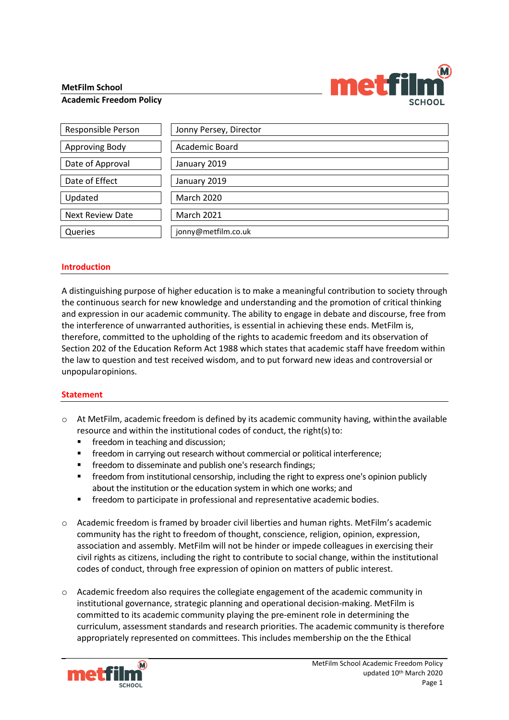## **MetFilm School**



## **Academic Freedom Policy**

| Responsible Person      | Jonny Persey, Director |
|-------------------------|------------------------|
| <b>Approving Body</b>   | Academic Board         |
| Date of Approval        | January 2019           |
| Date of Effect          | January 2019           |
| Updated                 | <b>March 2020</b>      |
| <b>Next Review Date</b> | <b>March 2021</b>      |
| Queries                 | jonny@metfilm.co.uk    |

## **Introduction**

A distinguishing purpose of higher education is to make a meaningful contribution to society through the continuous search for new knowledge and understanding and the promotion of critical thinking and expression in our academic community. The ability to engage in debate and discourse, free from the interference of unwarranted authorities, is essential in achieving these ends. MetFilm is, therefore, committed to the upholding of the rights to academic freedom and its observation of Section 202 of the Education Reform Act 1988 which states that academic staff have freedom within the law to question and test received wisdom, and to put forward new ideas and controversial or unpopularopinions.

## **Statement**

- $\circ$  At MetFilm, academic freedom is defined by its academic community having, within the available resource and within the institutional codes of conduct, the right(s) to:
	- freedom in teaching and discussion;
	- **■** freedom in carrying out research without commercial or political interference;
	- freedom to disseminate and publish one's research findings;
	- **•** freedom from institutional censorship, including the right to express one's opinion publicly about the institution or the education system in which one works; and
	- **■** freedom to participate in professional and representative academic bodies.
- o Academic freedom is framed by broader civil liberties and human rights. MetFilm's academic community has the right to freedom of thought, conscience, religion, opinion, expression, association and assembly. MetFilm will not be hinder or impede colleagues in exercising their civil rights as citizens, including the right to contribute to social change, within the institutional codes of conduct, through free expression of opinion on matters of public interest.
- $\circ$  Academic freedom also requires the collegiate engagement of the academic community in institutional governance, strategic planning and operational decision-making. MetFilm is committed to its academic community playing the pre-eminent role in determining the curriculum, assessment standards and research priorities. The academic community is therefore appropriately represented on committees. This includes membership on the the Ethical